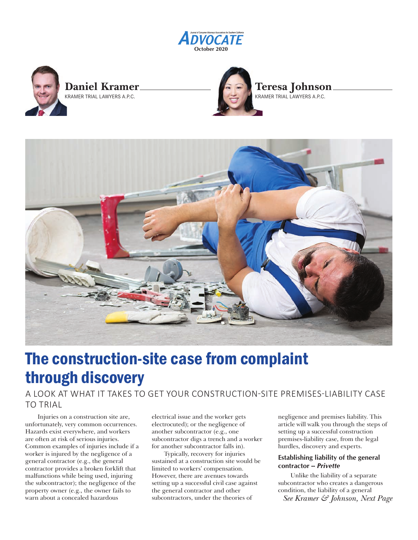







# The construction-site case from complaint through discovery

# A LOOK AT WHAT IT TAKES TO GET YOUR CONSTRUCTION-SITE PREMISES-LIABILITY CASE TO TRIAL

Injuries on a construction site are, unfortunately, very common occurrences. Hazards exist everywhere, and workers are often at risk of serious injuries. Common examples of injuries include if a worker is injured by the negligence of a general contractor (e.g., the general contractor provides a broken forklift that malfunctions while being used, injuring the subcontractor); the negligence of the property owner (e.g., the owner fails to warn about a concealed hazardous

electrical issue and the worker gets electrocuted); or the negligence of another subcontractor (e.g., one subcontractor digs a trench and a worker for another subcontractor falls in).

Typically, recovery for injuries sustained at a construction site would be limited to workers' compensation. However, there are avenues towards setting up a successful civil case against the general contractor and other subcontractors, under the theories of

negligence and premises liability. This article will walk you through the steps of setting up a successful construction premises-liability case, from the legal hurdles, discovery and experts.

## **Establishing liability of the general contractor --** *Privette*

Unlike the liability of a separate subcontractor who creates a dangerous condition, the liability of a general *See Kramer & Johnson, Next Page*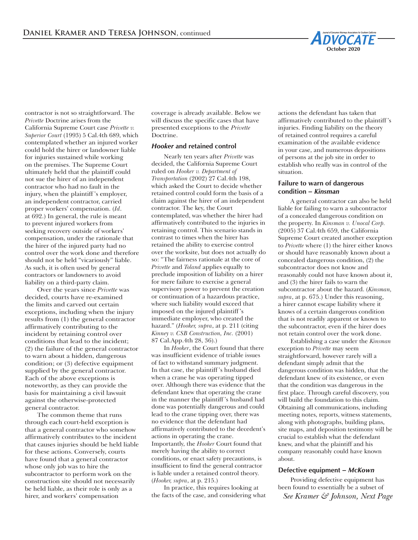

contractor is not so straightforward. The *Privette* Doctrine arises from the California Supreme Court case *Privette v. Superior Court* (1993) 5 Cal.4th 689, which contemplated whether an injured worker could hold the hirer or landowner liable for injuries sustained while working on the premises. The Supreme Court ultimately held that the plaintiff could not sue the hirer of an independent contractor who had no fault in the injury, when the plaintiff 's employer, an independent contractor, carried proper workers' compensation. (*Id*. at 692.) In general, the rule is meant to prevent injured workers from seeking recovery outside of workers' compensation, under the rationale that the hirer of the injured party had no control over the work done and therefore should not be held "vicariously" liable. As such, it is often used by general contractors or landowners to avoid liability on a third-party claim.

Over the years since *Privette* was decided, courts have re-examined the limits and carved out certain exceptions, including when the injury results from (1) the general contractor affirmatively contributing to the incident by retaining control over conditions that lead to the incident; (2) the failure of the general contractor to warn about a hidden, dangerous condition; or (3) defective equipment supplied by the general contractor. Each of the above exceptions is noteworthy, as they can provide the basis for maintaining a civil lawsuit against the otherwise-protected general contractor.

The common theme that runs through each court-held exception is that a general contractor who somehow affirmatively contributes to the incident that causes injuries should be held liable for these actions. Conversely, courts have found that a general contractor whose only job was to hire the subcontractor to perform work on the construction site should not necessarily be held liable, as their role is only as a hirer, and workers' compensation

coverage is already available. Below we will discuss the specific cases that have presented exceptions to the *Privette*  Doctrine.

### *Hooker* **and retained control**

Nearly ten years after *Privette* was decided, the California Supreme Court ruled on *Hooker v. Department of Transportation* (2002) 27 Cal.4th 198, which asked the Court to decide whether retained control could form the basis of a claim against the hirer of an independent contractor. The key, the Court contemplated, was whether the hirer had affirmatively contributed to the injuries in retaining control. This scenario stands in contrast to times when the hirer has retained the ability to exercise control over the worksite, but does not actually do so: "The fairness rationale at the core of *Privette* and *Toland* applies equally to preclude imposition of liability on a hirer for mere failure to exercise a general supervisory power to prevent the creation or continuation of a hazardous practice, where such liability would exceed that imposed on the injured plaintiff 's immediate employer, who created the hazard." (*Hooker, supra*, at p. 211 (citing *Kinney v. CSB Construction, Inc.* (2001) 87 Cal.App.4th 28, 36).)

In *Hooker*, the Court found that there was insufficient evidence of triable issues of fact to withstand summary judgment. In that case, the plaintiff 's husband died when a crane he was operating tipped over. Although there was evidence that the defendant knew that operating the crane in the manner the plaintiff 's husband had done was potentially dangerous and could lead to the crane tipping over, there was no evidence that the defendant had affirmatively contributed to the decedent's actions in operating the crane. Importantly, the *Hooker* Court found that merely having the ability to correct conditions, or enact safety precautions, is insufficient to find the general contractor is liable under a retained control theory. (*Hooker, supra*, at p. 215.)

In practice, this requires looking at the facts of the case, and considering what actions the defendant has taken that affirmatively contributed to the plaintiff 's injuries. Finding liability on the theory of retained control requires a careful examination of the available evidence in your case, and numerous depositions of persons at the job site in order to establish who really was in control of the situation.

#### **Failure to warn of dangerous condition —** *Kinsman*

A general contractor can also be held liable for failing to warn a subcontractor of a concealed dangerous condition on the property. In *Kinsman v. Unocal Corp.*  (2005) 37 Cal.4th 659, the California Supreme Court created another exception to *Privette* where (1) the hirer either knows or should have reasonably known about a concealed dangerous condition, (2) the subcontractor does not know and reasonably could not have known about it, and (3) the hirer fails to warn the subcontractor about the hazard. (*Kinsman, supra*, at p. 675.) Under this reasoning, a hirer cannot escape liability where it knows of a certain dangerous condition that is not readily apparent or known to the subcontractor, even if the hirer does not retain control over the work done.

Establishing a case under the *Kinsman*  exception to *Privette* may seem straightforward, however rarely will a defendant simply admit that the dangerous condition was hidden, that the defendant knew of its existence, or even that the condition was dangerous in the first place. Through careful discovery, you will build the foundation to this claim. Obtaining all communications, including meeting notes, reports, witness statements, along with photographs, building plans, site maps, and deposition testimony will be crucial to establish what the defendant knew, and what the plaintiff and his company reasonably could have known about.

#### **Defective equipment —** *McKown*

Providing defective equipment has been found to essentially be a subset of *See Kramer & Johnson, Next Page*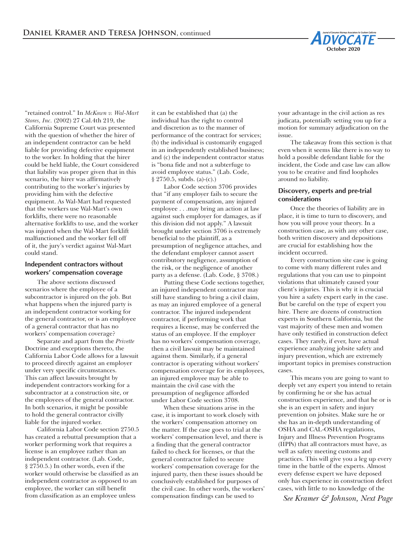

"retained control." In *McKown v. Wal-Mart Stores, Inc.* (2002) 27 Cal.4th 219, the California Supreme Court was presented with the question of whether the hirer of an independent contractor can be held liable for providing defective equipment to the worker. In holding that the hirer could be held liable, the Court considered that liability was proper given that in this scenario, the hirer was affirmatively contributing to the worker's injuries by providing him with the defective equipment. As Wal-Mart had requested that the workers use Wal-Mart's own forklifts, there were no reasonable alternative forklifts to use, and the worker was injured when the Wal-Mart forklift malfunctioned and the worker fell off of it, the jury's verdict against Wal-Mart could stand.

#### **Independent contractors without workers' compensation coverage**

The above sections discussed scenarios where the employee of a subcontractor is injured on the job. But what happens when the injured party is an independent contractor working for the general contractor, or is an employee of a general contractor that has no workers' compensation coverage?

Separate and apart from the *Privette* Doctrine and exceptions thereto, the California Labor Code allows for a lawsuit to proceed directly against an employer under very specific circumstances. This can affect lawsuits brought by independent contractors working for a subcontractor at a construction site, or the employees of the general contractor. In both scenarios, it might be possible to hold the general contractor civilly liable for the injured worker.

California Labor Code section 2750.5 has created a rebuttal presumption that a worker performing work that requires a license is an employee rather than an independent contractor. (Lab. Code, § 2750.5.) In other words, even if the worker would otherwise be classified as an independent contractor as opposed to an employee, the worker can still benefit from classification as an employee unless

it can be established that (a) the individual has the right to control and discretion as to the manner of performance of the contract for services; (b) the individual is customarily engaged in an independently established business; and (c) the independent contractor status is "bona fide and not a subterfuge to avoid employee status." (Lab. Code, § 2750.5, subds. (a)-(c).)

Labor Code section 3706 provides that "if any employer fails to secure the payment of compensation, any injured employee . . .may bring an action at law against such employer for damages, as if this division did not apply." A lawsuit brought under section 3706 is extremely beneficial to the plaintiff, as a presumption of negligence attaches, and the defendant employer cannot assert contributory negligence, assumption of the risk, or the negligence of another party as a defense. (Lab. Code, § 3708.)

Putting these Code sections together, an injured independent contractor may still have standing to bring a civil claim, as may an injured employee of a general contractor. The injured independent contractor, if performing work that requires a license, may be conferred the status of an employee. If the employer has no workers' compensation coverage, then a civil lawsuit may be maintained against them. Similarly, if a general contractor is operating without workers' compensation coverage for its employees, an injured employee may be able to maintain the civil case with the presumption of negligence afforded under Labor Code section 3708.

When these situations arise in the case, it is important to work closely with the workers' compensation attorney on the matter. If the case goes to trial at the workers' compensation level, and there is a finding that the general contractor failed to check for licenses, or that the general contractor failed to secure workers' compensation coverage for the injured party, then these issues should be conclusively established for purposes of the civil case. In other words, the workers' compensation findings can be used to

your advantage in the civil action as res judicata, potentially setting you up for a motion for summary adjudication on the issue.

The takeaway from this section is that even when it seems like there is no way to hold a possible defendant liable for the incident, the Code and case law can allow you to be creative and find loopholes around no liability.

#### **Discovery, experts and pre-trial considerations**

Once the theories of liability are in place, it is time to turn to discovery, and how you will prove your theory. In a construction case, as with any other case, both written discovery and depositions are crucial for establishing how the incident occurred.

Every construction site case is going to come with many different rules and regulations that you can use to pinpoint violations that ultimately caused your client's injuries. This is why it is crucial you hire a safety expert early in the case. But be careful on the type of expert you hire. There are dozens of construction experts in Southern California, but the vast majority of these men and women have only testified in construction defect cases. They rarely, if ever, have actual experience analyzing jobsite safety and injury prevention, which are extremely important topics in premises construction cases.

This means you are going to want to deeply vet any expert you intend to retain by confirming he or she has actual construction experience, and that he or is she is an expert in safety and injury prevention on jobsites. Make sure he or she has an in-depth understanding of OSHA and CAL-OSHA regulations, Injury and Illness Prevention Programs (IIPPs) that all contractors must have, as well as safety meeting customs and practices. This will give you a leg up every time in the battle of the experts. Almost every defense expert we have deposed only has experience in construction defect cases, with little to no knowledge of the

*See Kramer & Johnson, Next Page*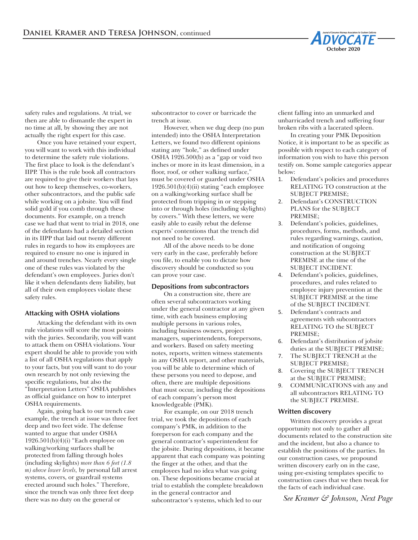

safety rules and regulations. At trial, we then are able to dismantle the expert in no time at all, by showing they are not actually the right expert for this case.

Once you have retained your expert, you will want to work with this individual to determine the safety rule violations. The first place to look is the defendant's IIPP. This is the rule book all contractors are required to give their workers that lays out how to keep themselves, co-workers, other subcontractors, and the public safe while working on a jobsite. You will find solid gold if you comb through these documents. For example, on a trench case we had that went to trial in 2018, one of the defendants had a detailed section in its IIPP that laid out twenty different rules in regards to how its employees are required to ensure no one is injured in and around trenches. Nearly every single one of these rules was violated by the defendant's own employees. Juries don't like it when defendants deny liability, but all of their own employees violate these safety rules.

#### **Attacking with OSHA violations**

Attacking the defendant with its own rule violations will score the most points with the juries. Secondarily, you will want to attack them on OSHA violations. Your expert should be able to provide you with a list of all OSHA regulations that apply to your facts, but you will want to do your own research by not only reviewing the specific regulations, but also the "Interpretation Letters" OSHA publishes as official guidance on how to interpret OSHA requirements.

Again, going back to our trench case example, the trench at issue was three feet deep and two feet wide. The defense wanted to argue that under OSHA 1926.501(b)(4)(i) "Each employee on walking/working surfaces shall be protected from falling through holes (including skylights) *more than 6 feet (1.8 m) above lower levels,* by personal fall arrest systems, covers, or guardrail systems erected around such holes." Therefore, since the trench was only three feet deep there was no duty on the general or

subcontractor to cover or barricade the trench at issue.

However, when we dug deep (no pun intended) into the OSHA Interpretation Letters, we found two different opinions stating any "hole," as defined under OSHA 1926.500(b) as a "gap or void two inches or more in its least dimension, in a floor, roof, or other walking surface," must be covered or guarded under OSHA 1926.501(b)(4)(ii) stating "each employee on a walking/working surface shall be protected from tripping in or stepping into or through holes (including skylights) by covers." With these letters, we were easily able to easily rebut the defense experts' contentions that the trench did not need to be covered.

All of the above needs to be done very early in the case, preferably before you file, to enable you to dictate how discovery should be conducted so you can prove your case.

#### **Depositions from subcontractors**

On a construction site, there are often several subcontractors working under the general contractor at any given time, with each business employing multiple persons in various roles, including business owners, project managers, superintendents, forepersons, and workers. Based on safety meeting notes, reports, written witness statements in any OSHA report, and other materials, you will be able to determine which of these persons you need to depose, and often, there are multiple depositions that must occur, including the depositions of each company's person most knowledgeable (PMK).

For example, on our 2018 trench trial, we took the depositions of each company's PMK, in addition to the foreperson for each company and the general contractor's superintendent for the jobsite. During depositions, it became apparent that each company was pointing the finger at the other, and that the employees had no idea what was going on. These depositions became crucial at trial to establish the complete breakdown in the general contractor and subcontractor's systems, which led to our

client falling into an unmarked and unbarricaded trench and suffering four broken ribs with a lacerated spleen.

In creating your PMK Deposition Notice, it is important to be as specific as possible with respect to each category of information you wish to have this person testify on. Some sample categories appear below:

- 1. Defendant's policies and procedures RELATING TO construction at the SUBJECT PREMISE;
- 2. Defendant's CONSTRUCTION PLANS for the SUBJECT PREMISE;
- 3. Defendant's policies, guidelines, procedures, forms, methods, and rules regarding warnings, caution, and notification of ongoing construction at the SUBJECT PREMISE at the time of the SUBJECT INCIDENT.
- 4. Defendant's policies, guidelines, procedures, and rules related to employee injury prevention at the SUBJECT PREMISE at the time of the SUBJECT INCIDENT.
- 5. Defendant's contracts and agreements with subcontractors RELATING TO the SUBJECT PREMISE;
- 6. Defendant's distribution of jobsite duties at the SUBJECT PREMISE;
- 7. The SUBJECT TRENCH at the SUBJECT PREMISE;
- Covering the SUBJECT TRENCH at the SUBJECT PREMISE;
- 9. COMMUNICATIONS with any and all subcontractors RELATING TO the SUBJECT PREMISE.

#### **Written discovery**

Written discovery provides a great opportunity not only to gather all documents related to the construction site and the incident, but also a chance to establish the positions of the parties. In our construction cases, we propound written discovery early on in the case, using pre-existing templates specific to construction cases that we then tweak for the facts of each individual case.

*See Kramer & Johnson, Next Page*